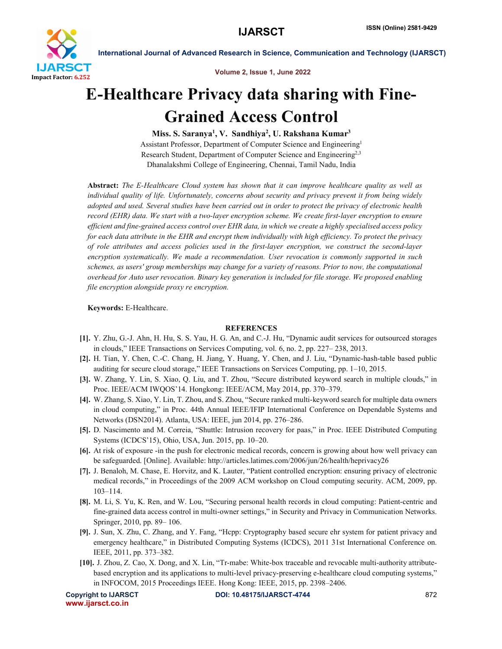

International Journal of Advanced Research in Science, Communication and Technology (IJARSCT)

Volume 2, Issue 1, June 2022

## E-Healthcare Privacy data sharing with Fine-Grained Access Control

Miss. S. Saranya<sup>1</sup>, V. Sandhiya<sup>2</sup>, U. Rakshana Kumar<sup>3</sup> Assistant Professor, Department of Computer Science and Engineering1 Research Student, Department of Computer Science and Engineering2,3 Dhanalakshmi College of Engineering, Chennai, Tamil Nadu, India

Abstract: *The E-Healthcare Cloud system has shown that it can improve healthcare quality as well as individual quality of life. Unfortunately, concerns about security and privacy prevent it from being widely adopted and used. Several studies have been carried out in order to protect the privacy of electronic health record (EHR) data. We start with a two-layer encryption scheme. We create first-layer encryption to ensure efficient and fine-grained access control over EHR data, in which we create a highly specialised access policy for each data attribute in the EHR and encrypt them individually with high efficiency. To protect the privacy of role attributes and access policies used in the first-layer encryption, we construct the second-layer encryption systematically. We made a recommendation. User revocation is commonly supported in such schemes, as users' group memberships may change for a variety of reasons. Prior to now, the computational overhead for Auto user revocation. Binary key generation is included for file storage. We proposed enabling file encryption alongside proxy re encryption.*

Keywords: E-Healthcare.

## **REFERENCES**

- [1]. Y. Zhu, G.-J. Ahn, H. Hu, S. S. Yau, H. G. An, and C.-J. Hu, "Dynamic audit services for outsourced storages in clouds," IEEE Transactions on Services Computing, vol. 6, no. 2, pp. 227– 238, 2013.
- [2]. H. Tian, Y. Chen, C.-C. Chang, H. Jiang, Y. Huang, Y. Chen, and J. Liu, "Dynamic-hash-table based public auditing for secure cloud storage," IEEE Transactions on Services Computing, pp. 1–10, 2015.
- [3]. W. Zhang, Y. Lin, S. Xiao, Q. Liu, and T. Zhou, "Secure distributed keyword search in multiple clouds," in Proc. IEEE/ACM IWQOS'14. Hongkong: IEEE/ACM, May 2014, pp. 370–379.
- [4]. W. Zhang, S. Xiao, Y. Lin, T. Zhou, and S. Zhou, "Secure ranked multi-keyword search for multiple data owners in cloud computing," in Proc. 44th Annual IEEE/IFIP International Conference on Dependable Systems and Networks (DSN2014). Atlanta, USA: IEEE, jun 2014, pp. 276–286.
- [5]. D. Nascimento and M. Correia, "Shuttle: Intrusion recovery for paas," in Proc. IEEE Distributed Computing Systems (ICDCS'15), Ohio, USA, Jun. 2015, pp. 10–20.
- [6]. At risk of exposure -in the push for electronic medical records, concern is growing about how well privacy can be safeguarded. [Online]. Available: http://articles.latimes.com/2006/jun/26/health/heprivacy26
- [7]. J. Benaloh, M. Chase, E. Horvitz, and K. Lauter, "Patient controlled encryption: ensuring privacy of electronic medical records," in Proceedings of the 2009 ACM workshop on Cloud computing security. ACM, 2009, pp. 103–114.
- [8]. M. Li, S. Yu, K. Ren, and W. Lou, "Securing personal health records in cloud computing: Patient-centric and fine-grained data access control in multi-owner settings," in Security and Privacy in Communication Networks. Springer, 2010, pp. 89– 106.
- [9]. J. Sun, X. Zhu, C. Zhang, and Y. Fang, "Hcpp: Cryptography based secure ehr system for patient privacy and emergency healthcare," in Distributed Computing Systems (ICDCS), 2011 31st International Conference on. IEEE, 2011, pp. 373–382.
- [10]. J. Zhou, Z. Cao, X. Dong, and X. Lin, "Tr-mabe: White-box traceable and revocable multi-authority attributebased encryption and its applications to multi-level privacy-preserving e-healthcare cloud computing systems," in INFOCOM, 2015 Proceedings IEEE. Hong Kong: IEEE, 2015, pp. 2398–2406.

```
www.ijarsct.co.in
```